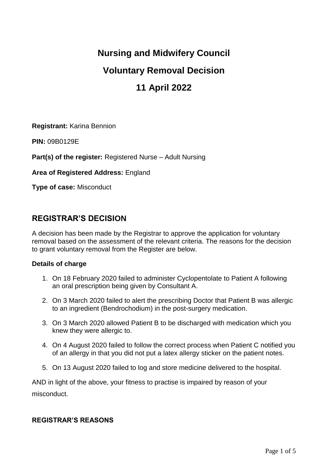# **Nursing and Midwifery Council**

# **Voluntary Removal Decision**

# **11 April 2022**

**Registrant:** Karina Bennion

**PIN:** 09B0129E

**Part(s) of the register:** Registered Nurse – Adult Nursing

**Area of Registered Address:** England

**Type of case:** Misconduct

### **REGISTRAR'S DECISION**

A decision has been made by the Registrar to approve the application for voluntary removal based on the assessment of the relevant criteria. The reasons for the decision to grant voluntary removal from the Register are below.

#### **Details of charge**

- 1. On 18 February 2020 failed to administer Cyclopentolate to Patient A following an oral prescription being given by Consultant A.
- 2. On 3 March 2020 failed to alert the prescribing Doctor that Patient B was allergic to an ingredient (Bendrochodium) in the post-surgery medication.
- 3. On 3 March 2020 allowed Patient B to be discharged with medication which you knew they were allergic to.
- 4. On 4 August 2020 failed to follow the correct process when Patient C notified you of an allergy in that you did not put a latex allergy sticker on the patient notes.
- 5. On 13 August 2020 failed to log and store medicine delivered to the hospital.

AND in light of the above, your fitness to practise is impaired by reason of your misconduct.

#### **REGISTRAR'S REASONS**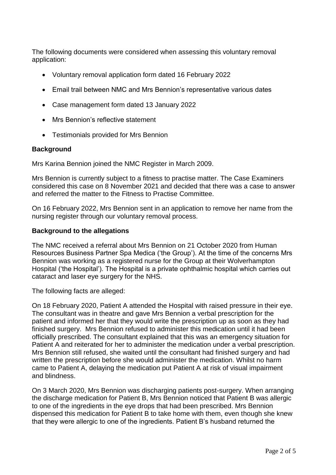The following documents were considered when assessing this voluntary removal application:

- Voluntary removal application form dated 16 February 2022
- Email trail between NMC and Mrs Bennion's representative various dates
- Case management form dated 13 January 2022
- Mrs Bennion's reflective statement
- Testimonials provided for Mrs Bennion

#### **Background**

Mrs Karina Bennion joined the NMC Register in March 2009.

Mrs Bennion is currently subject to a fitness to practise matter. The Case Examiners considered this case on 8 November 2021 and decided that there was a case to answer and referred the matter to the Fitness to Practise Committee.

On 16 February 2022, Mrs Bennion sent in an application to remove her name from the nursing register through our voluntary removal process.

#### **Background to the allegations**

The NMC received a referral about Mrs Bennion on 21 October 2020 from Human Resources Business Partner Spa Medica ('the Group'). At the time of the concerns Mrs Bennion was working as a registered nurse for the Group at their Wolverhampton Hospital ('the Hospital'). The Hospital is a private ophthalmic hospital which carries out cataract and laser eye surgery for the NHS.

The following facts are alleged:

On 18 February 2020, Patient A attended the Hospital with raised pressure in their eye. The consultant was in theatre and gave Mrs Bennion a verbal prescription for the patient and informed her that they would write the prescription up as soon as they had finished surgery. Mrs Bennion refused to administer this medication until it had been officially prescribed. The consultant explained that this was an emergency situation for Patient A and reiterated for her to administer the medication under a verbal prescription. Mrs Bennion still refused, she waited until the consultant had finished surgery and had written the prescription before she would administer the medication. Whilst no harm came to Patient A, delaying the medication put Patient A at risk of visual impairment and blindness.

On 3 March 2020, Mrs Bennion was discharging patients post-surgery. When arranging the discharge medication for Patient B, Mrs Bennion noticed that Patient B was allergic to one of the ingredients in the eye drops that had been prescribed. Mrs Bennion dispensed this medication for Patient B to take home with them, even though she knew that they were allergic to one of the ingredients. Patient B's husband returned the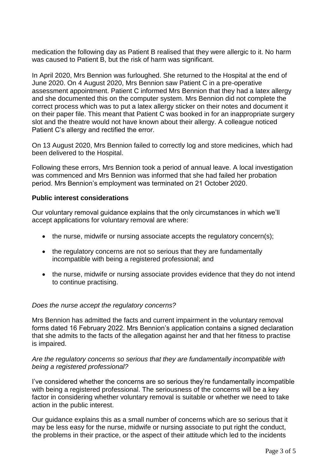medication the following day as Patient B realised that they were allergic to it. No harm was caused to Patient B, but the risk of harm was significant.

In April 2020, Mrs Bennion was furloughed. She returned to the Hospital at the end of June 2020. On 4 August 2020, Mrs Bennion saw Patient C in a pre-operative assessment appointment. Patient C informed Mrs Bennion that they had a latex allergy and she documented this on the computer system. Mrs Bennion did not complete the correct process which was to put a latex allergy sticker on their notes and document it on their paper file. This meant that Patient C was booked in for an inappropriate surgery slot and the theatre would not have known about their allergy. A colleague noticed Patient C's allergy and rectified the error.

On 13 August 2020, Mrs Bennion failed to correctly log and store medicines, which had been delivered to the Hospital.

Following these errors, Mrs Bennion took a period of annual leave. A local investigation was commenced and Mrs Bennion was informed that she had failed her probation period. Mrs Bennion's employment was terminated on 21 October 2020.

#### **Public interest considerations**

Our voluntary removal guidance explains that the only circumstances in which we'll accept applications for voluntary removal are where:

- the nurse, midwife or nursing associate accepts the regulatory concern(s);
- the regulatory concerns are not so serious that they are fundamentally incompatible with being a registered professional; and
- the nurse, midwife or nursing associate provides evidence that they do not intend to continue practising.

#### *Does the nurse accept the regulatory concerns?*

Mrs Bennion has admitted the facts and current impairment in the voluntary removal forms dated 16 February 2022. Mrs Bennion's application contains a signed declaration that she admits to the facts of the allegation against her and that her fitness to practise is impaired.

#### *Are the regulatory concerns so serious that they are fundamentally incompatible with being a registered professional?*

I've considered whether the concerns are so serious they're fundamentally incompatible with being a registered professional. The seriousness of the concerns will be a key factor in considering whether voluntary removal is suitable or whether we need to take action in the public interest.

Our guidance explains this as a small number of concerns which are so serious that it may be less easy for the nurse, midwife or nursing associate to put right the conduct, the problems in their practice, or the aspect of their attitude which led to the incidents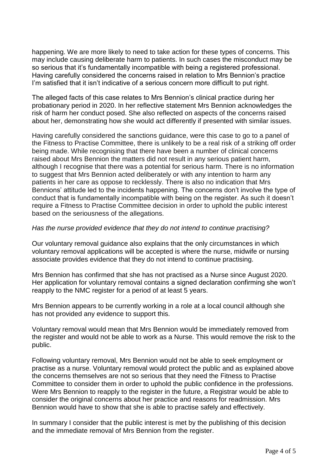happening. We are more likely to need to take action for these types of concerns. This may include causing deliberate harm to patients. In such cases the misconduct may be so serious that it's fundamentally incompatible with being a registered professional. Having carefully considered the concerns raised in relation to Mrs Bennion's practice I'm satisfied that it isn't indicative of a serious concern more difficult to put right.

The alleged facts of this case relates to Mrs Bennion's clinical practice during her probationary period in 2020. In her reflective statement Mrs Bennion acknowledges the risk of harm her conduct posed. She also reflected on aspects of the concerns raised about her, demonstrating how she would act differently if presented with similar issues.

Having carefully considered the sanctions guidance, were this case to go to a panel of the Fitness to Practise Committee, there is unlikely to be a real risk of a striking off order being made. While recognising that there have been a number of clinical concerns raised about Mrs Bennion the matters did not result in any serious patient harm, although I recognise that there was a potential for serious harm. There is no information to suggest that Mrs Bennion acted deliberately or with any intention to harm any patients in her care as oppose to recklessly. There is also no indication that Mrs Bennions' attitude led to the incidents happening. The concerns don't involve the type of conduct that is fundamentally incompatible with being on the register. As such it doesn't require a Fitness to Practise Committee decision in order to uphold the public interest based on the seriousness of the allegations.

#### *Has the nurse provided evidence that they do not intend to continue practising?*

Our voluntary removal guidance also explains that the only circumstances in which voluntary removal applications will be accepted is where the nurse, midwife or nursing associate provides evidence that they do not intend to continue practising.

Mrs Bennion has confirmed that she has not practised as a Nurse since August 2020. Her application for voluntary removal contains a signed declaration confirming she won't reapply to the NMC register for a period of at least 5 years.

Mrs Bennion appears to be currently working in a role at a local council although she has not provided any evidence to support this.

Voluntary removal would mean that Mrs Bennion would be immediately removed from the register and would not be able to work as a Nurse. This would remove the risk to the public.

Following voluntary removal, Mrs Bennion would not be able to seek employment or practise as a nurse. Voluntary removal would protect the public and as explained above the concerns themselves are not so serious that they need the Fitness to Practise Committee to consider them in order to uphold the public confidence in the professions. Were Mrs Bennion to reapply to the register in the future, a Registrar would be able to consider the original concerns about her practice and reasons for readmission. Mrs Bennion would have to show that she is able to practise safely and effectively.

In summary I consider that the public interest is met by the publishing of this decision and the immediate removal of Mrs Bennion from the register.